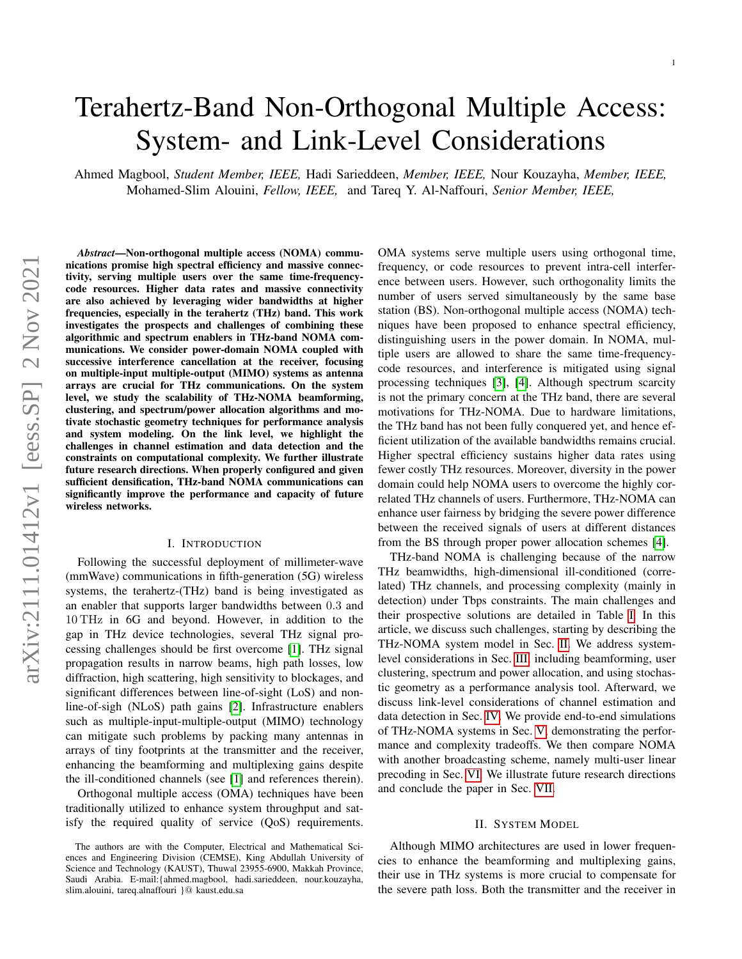# Terahertz-Band Non-Orthogonal Multiple Access: System- and Link-Level Considerations

Ahmed Magbool, *Student Member, IEEE,* Hadi Sarieddeen, *Member, IEEE,* Nour Kouzayha, *Member, IEEE,* Mohamed-Slim Alouini, *Fellow, IEEE,* and Tareq Y. Al-Naffouri, *Senior Member, IEEE,*

*Abstract*—Non-orthogonal multiple access (NOMA) communications promise high spectral efficiency and massive connectivity, serving multiple users over the same time-frequencycode resources. Higher data rates and massive connectivity are also achieved by leveraging wider bandwidths at higher frequencies, especially in the terahertz (THz) band. This work investigates the prospects and challenges of combining these algorithmic and spectrum enablers in THz-band NOMA communications. We consider power-domain NOMA coupled with successive interference cancellation at the receiver, focusing on multiple-input multiple-output (MIMO) systems as antenna arrays are crucial for THz communications. On the system level, we study the scalability of THz-NOMA beamforming, clustering, and spectrum/power allocation algorithms and motivate stochastic geometry techniques for performance analysis and system modeling. On the link level, we highlight the challenges in channel estimation and data detection and the constraints on computational complexity. We further illustrate future research directions. When properly configured and given sufficient densification, THz-band NOMA communications can significantly improve the performance and capacity of future wireless networks.

## I. INTRODUCTION

Following the successful deployment of millimeter-wave (mmWave) communications in fifth-generation (5G) wireless systems, the terahertz-(THz) band is being investigated as an enabler that supports larger bandwidths between 0.3 and 10 THz in 6G and beyond. However, in addition to the gap in THz device technologies, several THz signal processing challenges should be first overcome [\[1\]](#page-6-0). THz signal propagation results in narrow beams, high path losses, low diffraction, high scattering, high sensitivity to blockages, and significant differences between line-of-sight (LoS) and nonline-of-sigh (NLoS) path gains [\[2\]](#page-7-0). Infrastructure enablers such as multiple-input-multiple-output (MIMO) technology can mitigate such problems by packing many antennas in arrays of tiny footprints at the transmitter and the receiver, enhancing the beamforming and multiplexing gains despite the ill-conditioned channels (see [\[1\]](#page-6-0) and references therein).

Orthogonal multiple access (OMA) techniques have been traditionally utilized to enhance system throughput and satisfy the required quality of service (QoS) requirements. OMA systems serve multiple users using orthogonal time, frequency, or code resources to prevent intra-cell interference between users. However, such orthogonality limits the number of users served simultaneously by the same base station (BS). Non-orthogonal multiple access (NOMA) techniques have been proposed to enhance spectral efficiency, distinguishing users in the power domain. In NOMA, multiple users are allowed to share the same time-frequencycode resources, and interference is mitigated using signal processing techniques [\[3\]](#page-7-1), [\[4\]](#page-7-2). Although spectrum scarcity is not the primary concern at the THz band, there are several motivations for THz-NOMA. Due to hardware limitations, the THz band has not been fully conquered yet, and hence efficient utilization of the available bandwidths remains crucial. Higher spectral efficiency sustains higher data rates using fewer costly THz resources. Moreover, diversity in the power domain could help NOMA users to overcome the highly correlated THz channels of users. Furthermore, THz-NOMA can enhance user fairness by bridging the severe power difference between the received signals of users at different distances from the BS through proper power allocation schemes [\[4\]](#page-7-2).

THz-band NOMA is challenging because of the narrow THz beamwidths, high-dimensional ill-conditioned (correlated) THz channels, and processing complexity (mainly in detection) under Tbps constraints. The main challenges and their prospective solutions are detailed in Table [I.](#page-1-0) In this article, we discuss such challenges, starting by describing the THz-NOMA system model in Sec. [II.](#page-0-0) We address systemlevel considerations in Sec. [III,](#page-1-1) including beamforming, user clustering, spectrum and power allocation, and using stochastic geometry as a performance analysis tool. Afterward, we discuss link-level considerations of channel estimation and data detection in Sec. [IV.](#page-4-0) We provide end-to-end simulations of THz-NOMA systems in Sec. [V,](#page-5-0) demonstrating the performance and complexity tradeoffs. We then compare NOMA with another broadcasting scheme, namely multi-user linear precoding in Sec. [VI.](#page-5-1) We illustrate future research directions and conclude the paper in Sec. [VII.](#page-6-1)

#### II. SYSTEM MODEL

<span id="page-0-0"></span>Although MIMO architectures are used in lower frequencies to enhance the beamforming and multiplexing gains, their use in THz systems is more crucial to compensate for the severe path loss. Both the transmitter and the receiver in

The authors are with the Computer, Electrical and Mathematical Sciences and Engineering Division (CEMSE), King Abdullah University of Science and Technology (KAUST), Thuwal 23955-6900, Makkah Province, Saudi Arabia. E-mail:{ahmed.magbool, hadi.sarieddeen, nour.kouzayha, slim.alouini, tareq.alnaffouri }@ kaust.edu.sa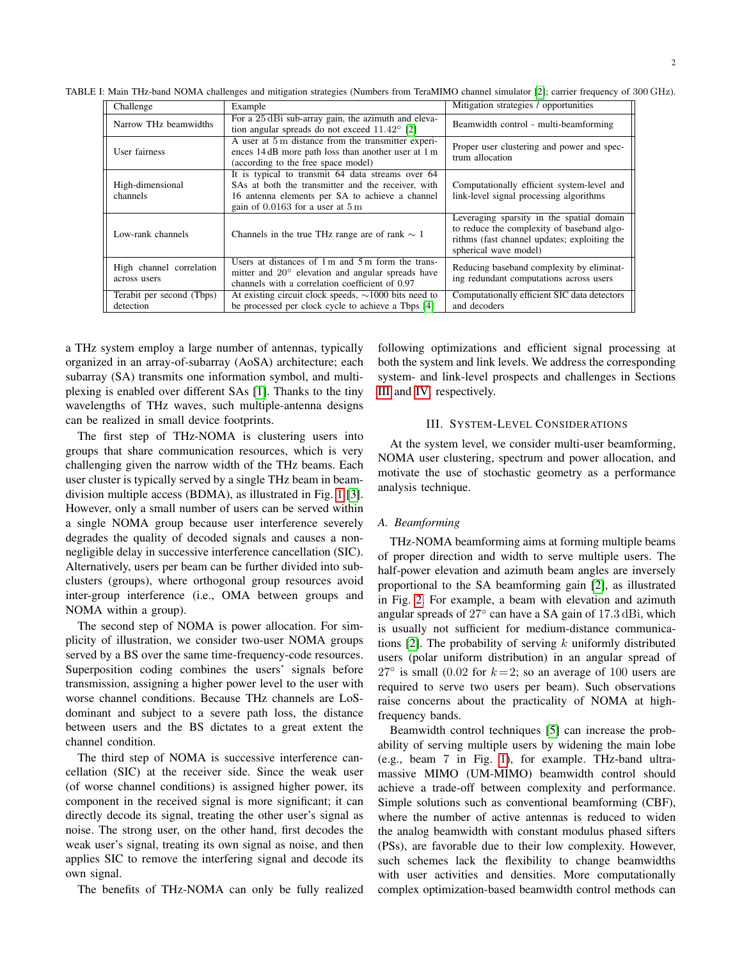| Challenge                                | Example                                                                                                                                                                                           | Mitigation strategies / opportunities                                                                                                                            |
|------------------------------------------|---------------------------------------------------------------------------------------------------------------------------------------------------------------------------------------------------|------------------------------------------------------------------------------------------------------------------------------------------------------------------|
| Narrow THz beamwidths                    | For a 25 dBi sub-array gain, the azimuth and eleva-<br>tion angular spreads do not exceed $11.42^{\circ}$ [2]                                                                                     | Beamwidth control - multi-beamforming                                                                                                                            |
| User fairness                            | A user at 5 m distance from the transmitter experi-<br>ences 14 dB more path loss than another user at 1 m<br>(according to the free space model)                                                 | Proper user clustering and power and spec-<br>trum allocation                                                                                                    |
| High-dimensional<br>channels             | It is typical to transmit 64 data streams over 64<br>SAs at both the transmitter and the receiver, with<br>16 antenna elements per SA to achieve a channel<br>gain of $0.0163$ for a user at $5m$ | Computationally efficient system-level and<br>link-level signal processing algorithms                                                                            |
| Low-rank channels                        | Channels in the true THz range are of rank $\sim 1$                                                                                                                                               | Leveraging sparsity in the spatial domain<br>to reduce the complexity of baseband algo-<br>rithms (fast channel updates; exploiting the<br>spherical wave model) |
| High channel correlation<br>across users | Users at distances of $1 \text{ m}$ and $5 \text{ m}$ form the trans-<br>mitter and $20^{\circ}$ elevation and angular spreads have<br>channels with a correlation coefficient of 0.97            | Reducing baseband complexity by eliminat-<br>ing redundant computations across users                                                                             |
| Terabit per second (Tbps)<br>detection   | At existing circuit clock speeds, $\sim$ 1000 bits need to<br>be processed per clock cycle to achieve a Tbps [4]                                                                                  | Computationally efficient SIC data detectors<br>and decoders                                                                                                     |

<span id="page-1-0"></span>TABLE I: Main THz-band NOMA challenges and mitigation strategies (Numbers from TeraMIMO channel simulator [\[2\]](#page-7-0); carrier frequency of 300 GHz).

a THz system employ a large number of antennas, typically organized in an array-of-subarray (AoSA) architecture; each subarray (SA) transmits one information symbol, and multiplexing is enabled over different SAs [\[1\]](#page-6-0). Thanks to the tiny wavelengths of THz waves, such multiple-antenna designs can be realized in small device footprints.

The first step of THz-NOMA is clustering users into groups that share communication resources, which is very challenging given the narrow width of the THz beams. Each user cluster is typically served by a single THz beam in beamdivision multiple access (BDMA), as illustrated in Fig. [1](#page-2-0) [\[3\]](#page-7-1). However, only a small number of users can be served within a single NOMA group because user interference severely degrades the quality of decoded signals and causes a nonnegligible delay in successive interference cancellation (SIC). Alternatively, users per beam can be further divided into subclusters (groups), where orthogonal group resources avoid inter-group interference (i.e., OMA between groups and NOMA within a group).

The second step of NOMA is power allocation. For simplicity of illustration, we consider two-user NOMA groups served by a BS over the same time-frequency-code resources. Superposition coding combines the users' signals before transmission, assigning a higher power level to the user with worse channel conditions. Because THz channels are LoSdominant and subject to a severe path loss, the distance between users and the BS dictates to a great extent the channel condition.

The third step of NOMA is successive interference cancellation (SIC) at the receiver side. Since the weak user (of worse channel conditions) is assigned higher power, its component in the received signal is more significant; it can directly decode its signal, treating the other user's signal as noise. The strong user, on the other hand, first decodes the weak user's signal, treating its own signal as noise, and then applies SIC to remove the interfering signal and decode its own signal.

The benefits of THz-NOMA can only be fully realized

following optimizations and efficient signal processing at both the system and link levels. We address the corresponding system- and link-level prospects and challenges in Sections [III](#page-1-1) and [IV,](#page-4-0) respectively.

#### III. SYSTEM-LEVEL CONSIDERATIONS

<span id="page-1-1"></span>At the system level, we consider multi-user beamforming, NOMA user clustering, spectrum and power allocation, and motivate the use of stochastic geometry as a performance analysis technique.

#### *A. Beamforming*

THz-NOMA beamforming aims at forming multiple beams of proper direction and width to serve multiple users. The half-power elevation and azimuth beam angles are inversely proportional to the SA beamforming gain [\[2\]](#page-7-0), as illustrated in Fig. [2.](#page-2-1) For example, a beam with elevation and azimuth angular spreads of 27° can have a SA gain of 17.3 dBi, which is usually not sufficient for medium-distance communications  $[2]$ . The probability of serving k uniformly distributed users (polar uniform distribution) in an angular spread of  $27^{\circ}$  is small (0.02 for  $k=2$ ; so an average of 100 users are required to serve two users per beam). Such observations raise concerns about the practicality of NOMA at highfrequency bands.

Beamwidth control techniques [\[5\]](#page-7-3) can increase the probability of serving multiple users by widening the main lobe (e.g., beam 7 in Fig. [1\)](#page-2-0), for example. THz-band ultramassive MIMO (UM-MIMO) beamwidth control should achieve a trade-off between complexity and performance. Simple solutions such as conventional beamforming (CBF), where the number of active antennas is reduced to widen the analog beamwidth with constant modulus phased sifters (PSs), are favorable due to their low complexity. However, such schemes lack the flexibility to change beamwidths with user activities and densities. More computationally complex optimization-based beamwidth control methods can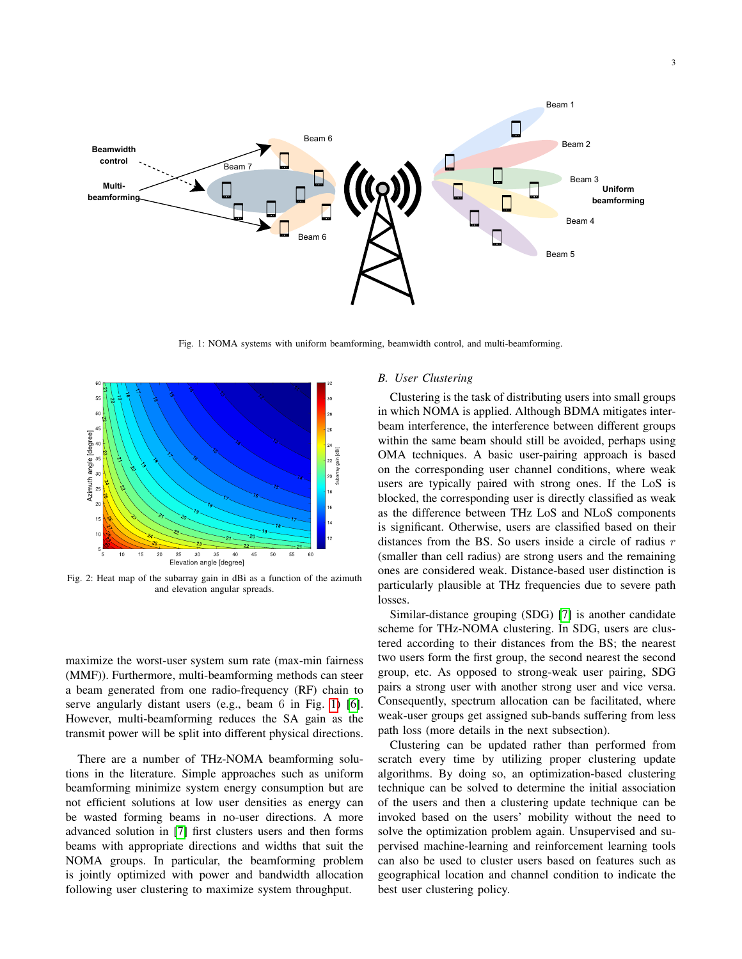<span id="page-2-0"></span>

Fig. 1: NOMA systems with uniform beamforming, beamwidth control, and multi-beamforming.

<span id="page-2-1"></span>

Fig. 2: Heat map of the subarray gain in dBi as a function of the azimuth and elevation angular spreads.

maximize the worst-user system sum rate (max-min fairness (MMF)). Furthermore, multi-beamforming methods can steer a beam generated from one radio-frequency (RF) chain to serve angularly distant users (e.g., beam 6 in Fig. [1\)](#page-2-0) [\[6\]](#page-7-4). However, multi-beamforming reduces the SA gain as the transmit power will be split into different physical directions.

There are a number of THz-NOMA beamforming solutions in the literature. Simple approaches such as uniform beamforming minimize system energy consumption but are not efficient solutions at low user densities as energy can be wasted forming beams in no-user directions. A more advanced solution in [\[7\]](#page-7-5) first clusters users and then forms beams with appropriate directions and widths that suit the NOMA groups. In particular, the beamforming problem is jointly optimized with power and bandwidth allocation following user clustering to maximize system throughput.

## <span id="page-2-2"></span>*B. User Clustering*

Clustering is the task of distributing users into small groups in which NOMA is applied. Although BDMA mitigates interbeam interference, the interference between different groups within the same beam should still be avoided, perhaps using OMA techniques. A basic user-pairing approach is based on the corresponding user channel conditions, where weak users are typically paired with strong ones. If the LoS is blocked, the corresponding user is directly classified as weak as the difference between THz LoS and NLoS components is significant. Otherwise, users are classified based on their distances from the BS. So users inside a circle of radius  $r$ (smaller than cell radius) are strong users and the remaining ones are considered weak. Distance-based user distinction is particularly plausible at THz frequencies due to severe path losses.

Similar-distance grouping (SDG) [\[7\]](#page-7-5) is another candidate scheme for THz-NOMA clustering. In SDG, users are clustered according to their distances from the BS; the nearest two users form the first group, the second nearest the second group, etc. As opposed to strong-weak user pairing, SDG pairs a strong user with another strong user and vice versa. Consequently, spectrum allocation can be facilitated, where weak-user groups get assigned sub-bands suffering from less path loss (more details in the next subsection).

Clustering can be updated rather than performed from scratch every time by utilizing proper clustering update algorithms. By doing so, an optimization-based clustering technique can be solved to determine the initial association of the users and then a clustering update technique can be invoked based on the users' mobility without the need to solve the optimization problem again. Unsupervised and supervised machine-learning and reinforcement learning tools can also be used to cluster users based on features such as geographical location and channel condition to indicate the best user clustering policy.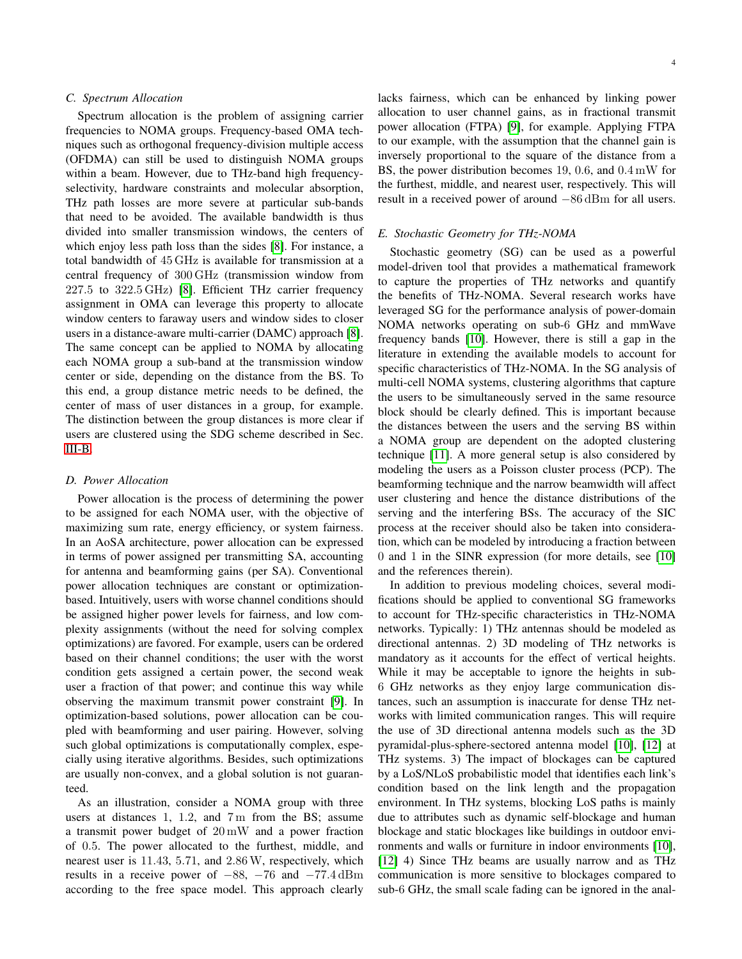## *C. Spectrum Allocation*

Spectrum allocation is the problem of assigning carrier frequencies to NOMA groups. Frequency-based OMA techniques such as orthogonal frequency-division multiple access (OFDMA) can still be used to distinguish NOMA groups within a beam. However, due to THz-band high frequencyselectivity, hardware constraints and molecular absorption, THz path losses are more severe at particular sub-bands that need to be avoided. The available bandwidth is thus divided into smaller transmission windows, the centers of which enjoy less path loss than the sides [\[8\]](#page-7-6). For instance, a total bandwidth of 45 GHz is available for transmission at a central frequency of 300 GHz (transmission window from 227.5 to 322.5 GHz) [\[8\]](#page-7-6). Efficient THz carrier frequency assignment in OMA can leverage this property to allocate window centers to faraway users and window sides to closer users in a distance-aware multi-carrier (DAMC) approach [\[8\]](#page-7-6). The same concept can be applied to NOMA by allocating each NOMA group a sub-band at the transmission window center or side, depending on the distance from the BS. To this end, a group distance metric needs to be defined, the center of mass of user distances in a group, for example. The distinction between the group distances is more clear if users are clustered using the SDG scheme described in Sec. [III-B.](#page-2-2)

## *D. Power Allocation*

Power allocation is the process of determining the power to be assigned for each NOMA user, with the objective of maximizing sum rate, energy efficiency, or system fairness. In an AoSA architecture, power allocation can be expressed in terms of power assigned per transmitting SA, accounting for antenna and beamforming gains (per SA). Conventional power allocation techniques are constant or optimizationbased. Intuitively, users with worse channel conditions should be assigned higher power levels for fairness, and low complexity assignments (without the need for solving complex optimizations) are favored. For example, users can be ordered based on their channel conditions; the user with the worst condition gets assigned a certain power, the second weak user a fraction of that power; and continue this way while observing the maximum transmit power constraint [\[9\]](#page-7-7). In optimization-based solutions, power allocation can be coupled with beamforming and user pairing. However, solving such global optimizations is computationally complex, especially using iterative algorithms. Besides, such optimizations are usually non-convex, and a global solution is not guaranteed.

As an illustration, consider a NOMA group with three users at distances 1, 1.2, and 7 m from the BS; assume a transmit power budget of 20 mW and a power fraction of 0.5. The power allocated to the furthest, middle, and nearest user is 11.43, 5.71, and 2.86W, respectively, which results in a receive power of  $-88$ ,  $-76$  and  $-77.4$  dBm according to the free space model. This approach clearly lacks fairness, which can be enhanced by linking power allocation to user channel gains, as in fractional transmit power allocation (FTPA) [\[9\]](#page-7-7), for example. Applying FTPA to our example, with the assumption that the channel gain is inversely proportional to the square of the distance from a BS, the power distribution becomes 19, 0.6, and 0.4 mW for the furthest, middle, and nearest user, respectively. This will result in a received power of around −86 dBm for all users.

## *E. Stochastic Geometry for THz-NOMA*

Stochastic geometry (SG) can be used as a powerful model-driven tool that provides a mathematical framework to capture the properties of THz networks and quantify the benefits of THz-NOMA. Several research works have leveraged SG for the performance analysis of power-domain NOMA networks operating on sub-6 GHz and mmWave frequency bands [\[10\]](#page-7-8). However, there is still a gap in the literature in extending the available models to account for specific characteristics of THz-NOMA. In the SG analysis of multi-cell NOMA systems, clustering algorithms that capture the users to be simultaneously served in the same resource block should be clearly defined. This is important because the distances between the users and the serving BS within a NOMA group are dependent on the adopted clustering technique [\[11\]](#page-7-9). A more general setup is also considered by modeling the users as a Poisson cluster process (PCP). The beamforming technique and the narrow beamwidth will affect user clustering and hence the distance distributions of the serving and the interfering BSs. The accuracy of the SIC process at the receiver should also be taken into consideration, which can be modeled by introducing a fraction between 0 and 1 in the SINR expression (for more details, see [\[10\]](#page-7-8) and the references therein).

In addition to previous modeling choices, several modifications should be applied to conventional SG frameworks to account for THz-specific characteristics in THz-NOMA networks. Typically: 1) THz antennas should be modeled as directional antennas. 2) 3D modeling of THz networks is mandatory as it accounts for the effect of vertical heights. While it may be acceptable to ignore the heights in sub-6 GHz networks as they enjoy large communication distances, such an assumption is inaccurate for dense THz networks with limited communication ranges. This will require the use of 3D directional antenna models such as the 3D pyramidal-plus-sphere-sectored antenna model [\[10\]](#page-7-8), [\[12\]](#page-7-10) at THz systems. 3) The impact of blockages can be captured by a LoS/NLoS probabilistic model that identifies each link's condition based on the link length and the propagation environment. In THz systems, blocking LoS paths is mainly due to attributes such as dynamic self-blockage and human blockage and static blockages like buildings in outdoor environments and walls or furniture in indoor environments [\[10\]](#page-7-8), [\[12\]](#page-7-10) 4) Since THz beams are usually narrow and as THz communication is more sensitive to blockages compared to sub-6 GHz, the small scale fading can be ignored in the anal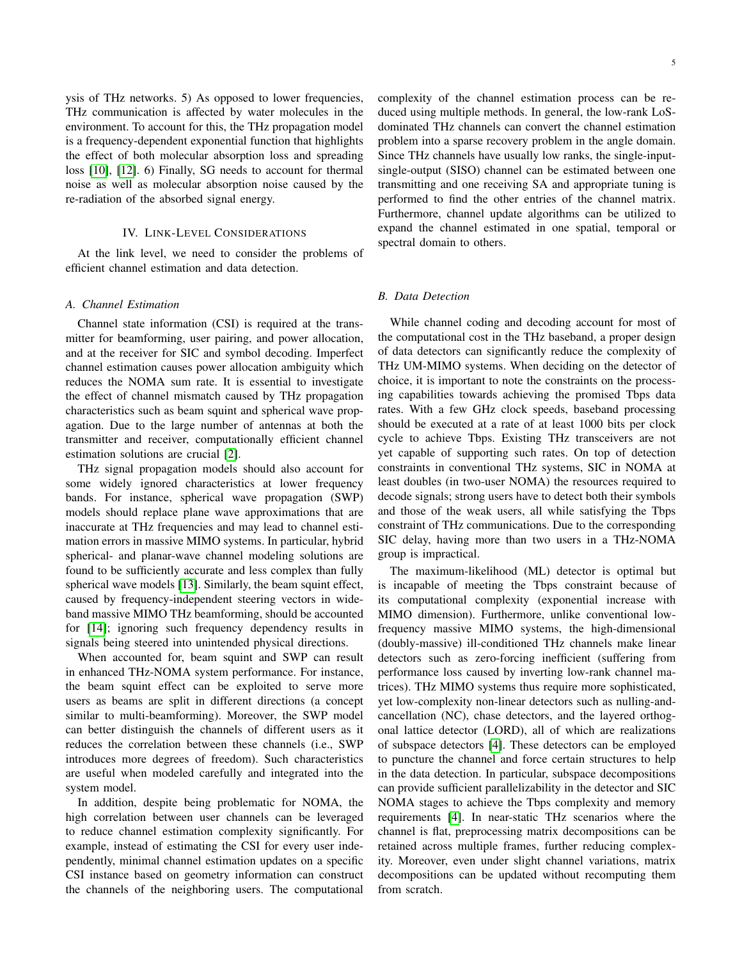ysis of THz networks. 5) As opposed to lower frequencies, THz communication is affected by water molecules in the environment. To account for this, the THz propagation model is a frequency-dependent exponential function that highlights the effect of both molecular absorption loss and spreading loss [\[10\]](#page-7-8), [\[12\]](#page-7-10). 6) Finally, SG needs to account for thermal noise as well as molecular absorption noise caused by the re-radiation of the absorbed signal energy.

## IV. LINK-LEVEL CONSIDERATIONS

<span id="page-4-0"></span>At the link level, we need to consider the problems of efficient channel estimation and data detection.

#### *A. Channel Estimation*

Channel state information (CSI) is required at the transmitter for beamforming, user pairing, and power allocation, and at the receiver for SIC and symbol decoding. Imperfect channel estimation causes power allocation ambiguity which reduces the NOMA sum rate. It is essential to investigate the effect of channel mismatch caused by THz propagation characteristics such as beam squint and spherical wave propagation. Due to the large number of antennas at both the transmitter and receiver, computationally efficient channel estimation solutions are crucial [\[2\]](#page-7-0).

THz signal propagation models should also account for some widely ignored characteristics at lower frequency bands. For instance, spherical wave propagation (SWP) models should replace plane wave approximations that are inaccurate at THz frequencies and may lead to channel estimation errors in massive MIMO systems. In particular, hybrid spherical- and planar-wave channel modeling solutions are found to be sufficiently accurate and less complex than fully spherical wave models [\[13\]](#page-7-11). Similarly, the beam squint effect, caused by frequency-independent steering vectors in wideband massive MIMO THz beamforming, should be accounted for [\[14\]](#page-7-12); ignoring such frequency dependency results in signals being steered into unintended physical directions.

When accounted for, beam squint and SWP can result in enhanced THz-NOMA system performance. For instance, the beam squint effect can be exploited to serve more users as beams are split in different directions (a concept similar to multi-beamforming). Moreover, the SWP model can better distinguish the channels of different users as it reduces the correlation between these channels (i.e., SWP introduces more degrees of freedom). Such characteristics are useful when modeled carefully and integrated into the system model.

In addition, despite being problematic for NOMA, the high correlation between user channels can be leveraged to reduce channel estimation complexity significantly. For example, instead of estimating the CSI for every user independently, minimal channel estimation updates on a specific CSI instance based on geometry information can construct the channels of the neighboring users. The computational complexity of the channel estimation process can be reduced using multiple methods. In general, the low-rank LoSdominated THz channels can convert the channel estimation problem into a sparse recovery problem in the angle domain. Since THz channels have usually low ranks, the single-inputsingle-output (SISO) channel can be estimated between one transmitting and one receiving SA and appropriate tuning is performed to find the other entries of the channel matrix. Furthermore, channel update algorithms can be utilized to expand the channel estimated in one spatial, temporal or spectral domain to others.

## *B. Data Detection*

While channel coding and decoding account for most of the computational cost in the THz baseband, a proper design of data detectors can significantly reduce the complexity of THz UM-MIMO systems. When deciding on the detector of choice, it is important to note the constraints on the processing capabilities towards achieving the promised Tbps data rates. With a few GHz clock speeds, baseband processing should be executed at a rate of at least 1000 bits per clock cycle to achieve Tbps. Existing THz transceivers are not yet capable of supporting such rates. On top of detection constraints in conventional THz systems, SIC in NOMA at least doubles (in two-user NOMA) the resources required to decode signals; strong users have to detect both their symbols and those of the weak users, all while satisfying the Tbps constraint of THz communications. Due to the corresponding SIC delay, having more than two users in a THz-NOMA group is impractical.

The maximum-likelihood (ML) detector is optimal but is incapable of meeting the Tbps constraint because of its computational complexity (exponential increase with MIMO dimension). Furthermore, unlike conventional lowfrequency massive MIMO systems, the high-dimensional (doubly-massive) ill-conditioned THz channels make linear detectors such as zero-forcing inefficient (suffering from performance loss caused by inverting low-rank channel matrices). THz MIMO systems thus require more sophisticated, yet low-complexity non-linear detectors such as nulling-andcancellation (NC), chase detectors, and the layered orthogonal lattice detector (LORD), all of which are realizations of subspace detectors [\[4\]](#page-7-2). These detectors can be employed to puncture the channel and force certain structures to help in the data detection. In particular, subspace decompositions can provide sufficient parallelizability in the detector and SIC NOMA stages to achieve the Tbps complexity and memory requirements [\[4\]](#page-7-2). In near-static THz scenarios where the channel is flat, preprocessing matrix decompositions can be retained across multiple frames, further reducing complexity. Moreover, even under slight channel variations, matrix decompositions can be updated without recomputing them from scratch.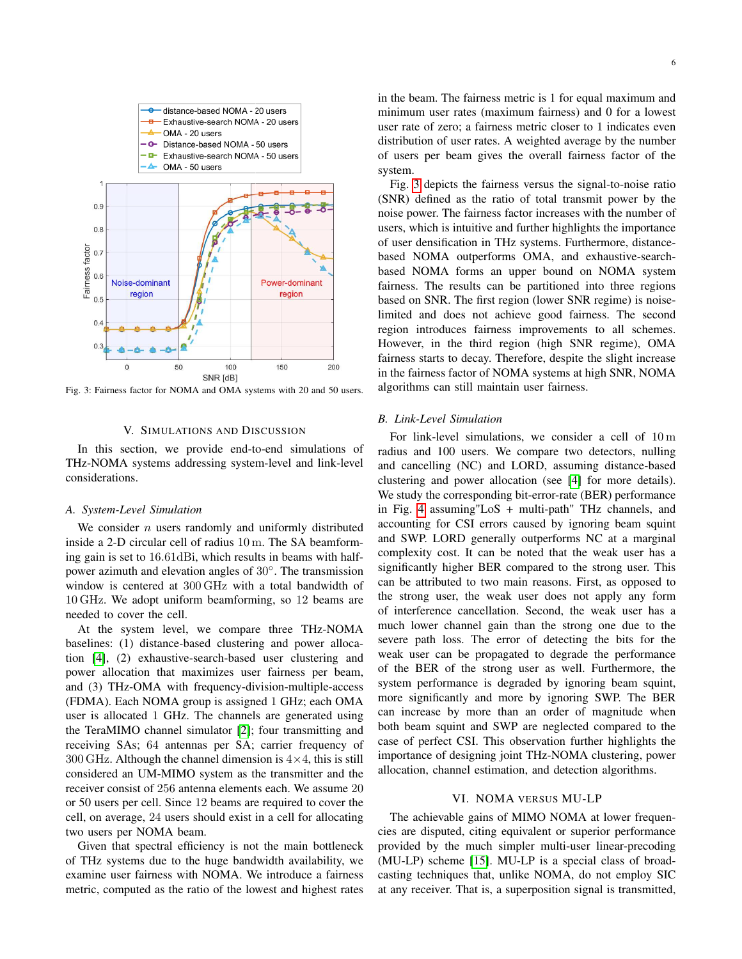<span id="page-5-2"></span>

Fig. 3: Fairness factor for NOMA and OMA systems with 20 and 50 users.

#### V. SIMULATIONS AND DISCUSSION

<span id="page-5-0"></span>In this section, we provide end-to-end simulations of THz-NOMA systems addressing system-level and link-level considerations.

#### *A. System-Level Simulation*

We consider  $n$  users randomly and uniformly distributed inside a 2-D circular cell of radius 10 m. The SA beamforming gain is set to 16.61dBi, which results in beams with halfpower azimuth and elevation angles of 30°. The transmission window is centered at 300 GHz with a total bandwidth of 10 GHz. We adopt uniform beamforming, so 12 beams are needed to cover the cell.

At the system level, we compare three THz-NOMA baselines: (1) distance-based clustering and power allocation [\[4\]](#page-7-2), (2) exhaustive-search-based user clustering and power allocation that maximizes user fairness per beam, and (3) THz-OMA with frequency-division-multiple-access (FDMA). Each NOMA group is assigned 1 GHz; each OMA user is allocated 1 GHz. The channels are generated using the TeraMIMO channel simulator [\[2\]](#page-7-0); four transmitting and receiving SAs; 64 antennas per SA; carrier frequency of 300 GHz. Although the channel dimension is  $4 \times 4$ , this is still considered an UM-MIMO system as the transmitter and the receiver consist of 256 antenna elements each. We assume 20 or 50 users per cell. Since 12 beams are required to cover the cell, on average, 24 users should exist in a cell for allocating two users per NOMA beam.

Given that spectral efficiency is not the main bottleneck of THz systems due to the huge bandwidth availability, we examine user fairness with NOMA. We introduce a fairness metric, computed as the ratio of the lowest and highest rates in the beam. The fairness metric is 1 for equal maximum and minimum user rates (maximum fairness) and 0 for a lowest user rate of zero; a fairness metric closer to 1 indicates even distribution of user rates. A weighted average by the number of users per beam gives the overall fairness factor of the system.

Fig. [3](#page-5-2) depicts the fairness versus the signal-to-noise ratio (SNR) defined as the ratio of total transmit power by the noise power. The fairness factor increases with the number of users, which is intuitive and further highlights the importance of user densification in THz systems. Furthermore, distancebased NOMA outperforms OMA, and exhaustive-searchbased NOMA forms an upper bound on NOMA system fairness. The results can be partitioned into three regions based on SNR. The first region (lower SNR regime) is noiselimited and does not achieve good fairness. The second region introduces fairness improvements to all schemes. However, in the third region (high SNR regime), OMA fairness starts to decay. Therefore, despite the slight increase in the fairness factor of NOMA systems at high SNR, NOMA algorithms can still maintain user fairness.

## *B. Link-Level Simulation*

For link-level simulations, we consider a cell of 10 m radius and 100 users. We compare two detectors, nulling and cancelling (NC) and LORD, assuming distance-based clustering and power allocation (see [\[4\]](#page-7-2) for more details). We study the corresponding bit-error-rate (BER) performance in Fig. [4](#page-6-2) assuming"LoS + multi-path" THz channels, and accounting for CSI errors caused by ignoring beam squint and SWP. LORD generally outperforms NC at a marginal complexity cost. It can be noted that the weak user has a significantly higher BER compared to the strong user. This can be attributed to two main reasons. First, as opposed to the strong user, the weak user does not apply any form of interference cancellation. Second, the weak user has a much lower channel gain than the strong one due to the severe path loss. The error of detecting the bits for the weak user can be propagated to degrade the performance of the BER of the strong user as well. Furthermore, the system performance is degraded by ignoring beam squint, more significantly and more by ignoring SWP. The BER can increase by more than an order of magnitude when both beam squint and SWP are neglected compared to the case of perfect CSI. This observation further highlights the importance of designing joint THz-NOMA clustering, power allocation, channel estimation, and detection algorithms.

### VI. NOMA VERSUS MU-LP

<span id="page-5-1"></span>The achievable gains of MIMO NOMA at lower frequencies are disputed, citing equivalent or superior performance provided by the much simpler multi-user linear-precoding (MU-LP) scheme [\[15\]](#page-7-13). MU-LP is a special class of broadcasting techniques that, unlike NOMA, do not employ SIC at any receiver. That is, a superposition signal is transmitted,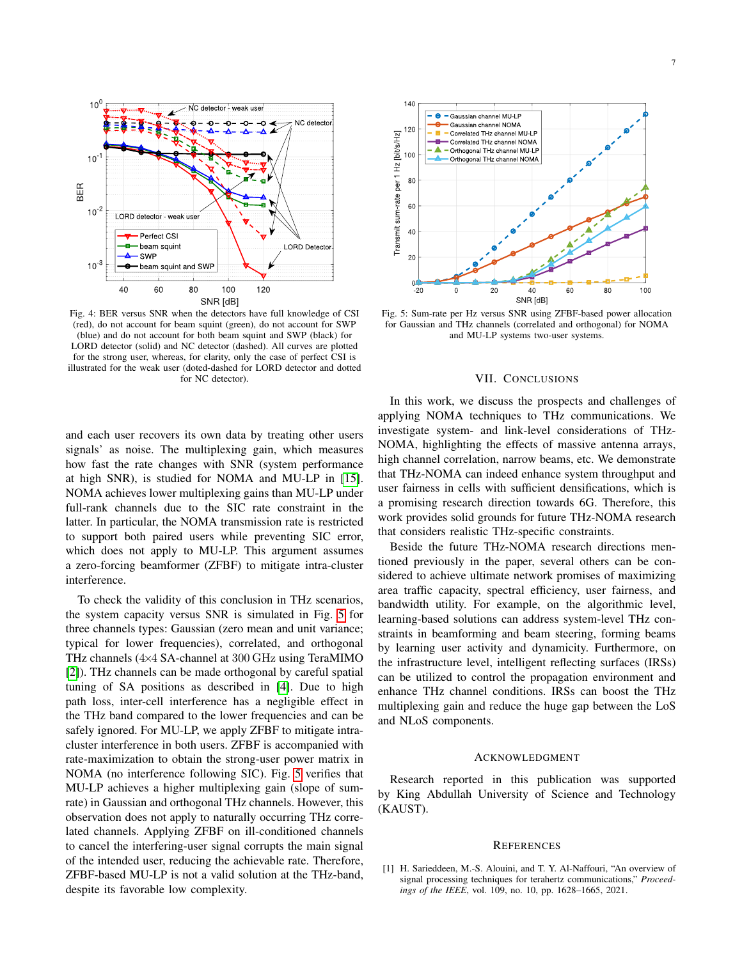<span id="page-6-2"></span>

Fig. 4: BER versus SNR when the detectors have full knowledge of CSI (red), do not account for beam squint (green), do not account for SWP (blue) and do not account for both beam squint and SWP (black) for LORD detector (solid) and NC detector (dashed). All curves are plotted for the strong user, whereas, for clarity, only the case of perfect CSI is illustrated for the weak user (doted-dashed for LORD detector and dotted for NC detector).

and each user recovers its own data by treating other users signals' as noise. The multiplexing gain, which measures how fast the rate changes with SNR (system performance at high SNR), is studied for NOMA and MU-LP in [\[15\]](#page-7-13). NOMA achieves lower multiplexing gains than MU-LP under full-rank channels due to the SIC rate constraint in the latter. In particular, the NOMA transmission rate is restricted to support both paired users while preventing SIC error, which does not apply to MU-LP. This argument assumes a zero-forcing beamformer (ZFBF) to mitigate intra-cluster interference.

To check the validity of this conclusion in THz scenarios, the system capacity versus SNR is simulated in Fig. [5](#page-6-3) for three channels types: Gaussian (zero mean and unit variance; typical for lower frequencies), correlated, and orthogonal THz channels (4×4 SA-channel at 300 GHz using TeraMIMO [\[2\]](#page-7-0)). THz channels can be made orthogonal by careful spatial tuning of SA positions as described in [\[4\]](#page-7-2). Due to high path loss, inter-cell interference has a negligible effect in the THz band compared to the lower frequencies and can be safely ignored. For MU-LP, we apply ZFBF to mitigate intracluster interference in both users. ZFBF is accompanied with rate-maximization to obtain the strong-user power matrix in NOMA (no interference following SIC). Fig. [5](#page-6-3) verifies that MU-LP achieves a higher multiplexing gain (slope of sumrate) in Gaussian and orthogonal THz channels. However, this observation does not apply to naturally occurring THz correlated channels. Applying ZFBF on ill-conditioned channels to cancel the interfering-user signal corrupts the main signal of the intended user, reducing the achievable rate. Therefore, ZFBF-based MU-LP is not a valid solution at the THz-band, despite its favorable low complexity.

<span id="page-6-3"></span>

Fig. 5: Sum-rate per Hz versus SNR using ZFBF-based power allocation for Gaussian and THz channels (correlated and orthogonal) for NOMA and MU-LP systems two-user systems.

#### VII. CONCLUSIONS

<span id="page-6-1"></span>In this work, we discuss the prospects and challenges of applying NOMA techniques to THz communications. We investigate system- and link-level considerations of THz-NOMA, highlighting the effects of massive antenna arrays, high channel correlation, narrow beams, etc. We demonstrate that THz-NOMA can indeed enhance system throughput and user fairness in cells with sufficient densifications, which is a promising research direction towards 6G. Therefore, this work provides solid grounds for future THz-NOMA research that considers realistic THz-specific constraints.

Beside the future THz-NOMA research directions mentioned previously in the paper, several others can be considered to achieve ultimate network promises of maximizing area traffic capacity, spectral efficiency, user fairness, and bandwidth utility. For example, on the algorithmic level, learning-based solutions can address system-level THz constraints in beamforming and beam steering, forming beams by learning user activity and dynamicity. Furthermore, on the infrastructure level, intelligent reflecting surfaces (IRSs) can be utilized to control the propagation environment and enhance THz channel conditions. IRSs can boost the THz multiplexing gain and reduce the huge gap between the LoS and NLoS components.

#### ACKNOWLEDGMENT

Research reported in this publication was supported by King Abdullah University of Science and Technology (KAUST).

#### **REFERENCES**

<span id="page-6-0"></span>[1] H. Sarieddeen, M.-S. Alouini, and T. Y. Al-Naffouri, "An overview of signal processing techniques for terahertz communications," *Proceedings of the IEEE*, vol. 109, no. 10, pp. 1628–1665, 2021.